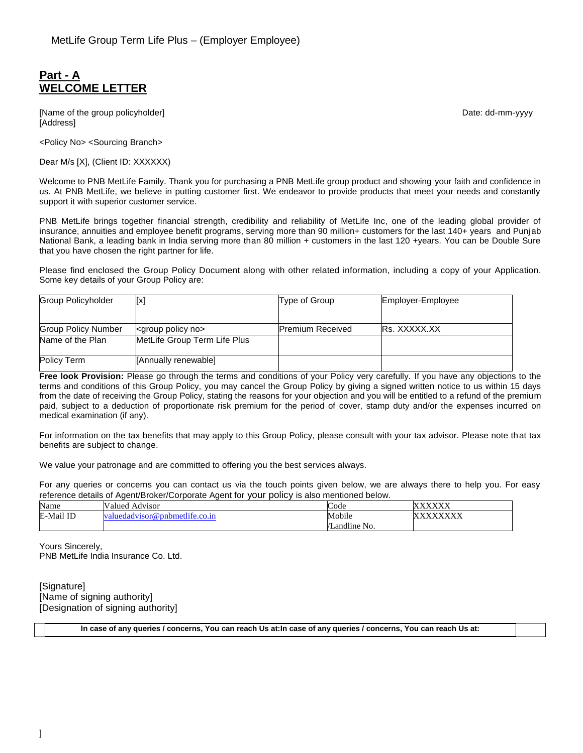# **Part - A WELCOME LETTER**

[Name of the group policyholder] example and the group of the group of the group of the group of the group of the group of the group of the group of the group of the group of the group of the group of the group of the grou [Address]

<Policy No> <Sourcing Branch>

Dear M/s [X], (Client ID: XXXXXX)

Welcome to PNB MetLife Family. Thank you for purchasing a PNB MetLife group product and showing your faith and confidence in us. At PNB MetLife, we believe in putting customer first. We endeavor to provide products that meet your needs and constantly support it with superior customer service.

PNB MetLife brings together financial strength, credibility and reliability of MetLife Inc, one of the leading global provider of insurance, annuities and employee benefit programs, serving more than 90 million+ customers for the last 140+ years and Punjab National Bank, a leading bank in India serving more than 80 million + customers in the last 120 +years. You can be Double Sure that you have chosen the right partner for life.

Please find enclosed the Group Policy Document along with other related information, including a copy of your Application. Some key details of your Group Policy are:

| <b>Group Policyholder</b>  | [x]                             | Type of Group           | Employer-Employee |
|----------------------------|---------------------------------|-------------------------|-------------------|
|                            |                                 |                         |                   |
| <b>Group Policy Number</b> | <group no="" policy=""></group> | <b>Premium Received</b> | Rs. XXXXX.XX      |
| Name of the Plan           | MetLife Group Term Life Plus    |                         |                   |
| <b>Policy Term</b>         | [Annually renewable]            |                         |                   |

**Free look Provision:** Please go through the terms and conditions of your Policy very carefully. If you have any objections to the terms and conditions of this Group Policy, you may cancel the Group Policy by giving a signed written notice to us within 15 days from the date of receiving the Group Policy, stating the reasons for your objection and you will be entitled to a refund of the premium paid, subject to a deduction of proportionate risk premium for the period of cover, stamp duty and/or the expenses incurred on medical examination (if any).

For information on the tax benefits that may apply to this Group Policy, please consult with your tax advisor. Please note that tax benefits are subject to change.

We value your patronage and are committed to offering you the best services always.

For any queries or concerns you can contact us via the touch points given below, we are always there to help you. For easy reference details of Agent/Broker/Corporate Agent for your policy is also mentioned below.

| Name      | N<br>Advisor<br>'alued   | $\sqrt{ }$<br>Code                        | ,,,,,,,,,<br>$\sim$<br>$\Lambda$ $\Lambda$ $\Lambda$ |
|-----------|--------------------------|-------------------------------------------|------------------------------------------------------|
| E-Mail ID | .dvisor@pnbmetlife.co.in | Mobile                                    | ,,,,,,,,,,<br>$\Delta \Delta \Delta \Delta$          |
|           |                          | $\cdots$<br>$\mathbf{v}$<br>'Landline No. |                                                      |

Yours Sincerely, PNB MetLife India Insurance Co. Ltd.

[Signature] [Name of signing authority] [Designation of signing authority]

**In case of any queries / concerns, You can reach Us at:In case of any queries / concerns, You can reach Us at:**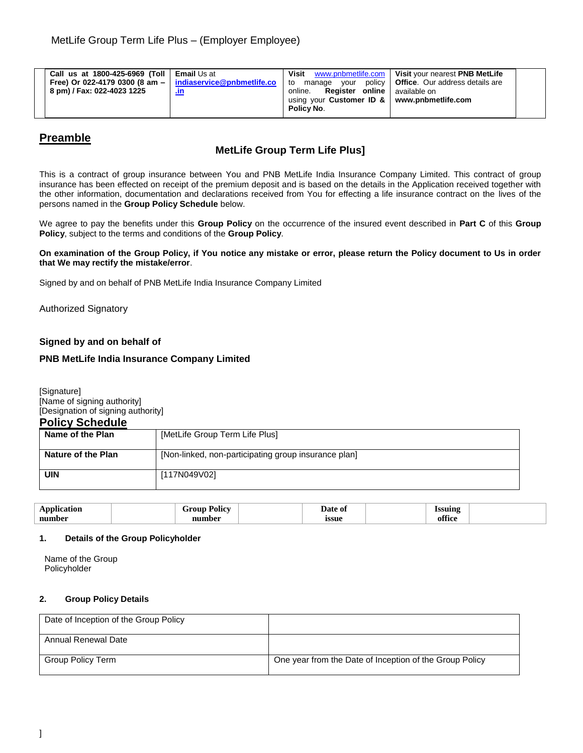| Call us at 1800-425-6969 (Toll   Email Us at<br>Free) Or 022-4179 0300 (8 am $-$   indiaservice@pnbmetlife.co<br>8 pm) / Fax: 022-4023 1225 | <u>.ın</u> | Visit<br>www.pnbmetlife.com<br>to<br>Reaister online l<br>online.<br>using your Customer ID &   www.pnbmetlife.com<br>Policy No. | Visit your nearest PNB MetLife<br>manage your policy   Office. Our address details are<br>available on |  |
|---------------------------------------------------------------------------------------------------------------------------------------------|------------|----------------------------------------------------------------------------------------------------------------------------------|--------------------------------------------------------------------------------------------------------|--|
|---------------------------------------------------------------------------------------------------------------------------------------------|------------|----------------------------------------------------------------------------------------------------------------------------------|--------------------------------------------------------------------------------------------------------|--|

# **Preamble**

## **MetLife Group Term Life Plus]**

This is a contract of group insurance between You and PNB MetLife India Insurance Company Limited. This contract of group insurance has been effected on receipt of the premium deposit and is based on the details in the Application received together with the other information, documentation and declarations received from You for effecting a life insurance contract on the lives of the persons named in the **Group Policy Schedule** below.

We agree to pay the benefits under this **Group Policy** on the occurrence of the insured event described in **Part C** of this **Group Policy**, subject to the terms and conditions of the **Group Policy**.

**On examination of the Group Policy, if You notice any mistake or error, please return the Policy document to Us in order that We may rectify the mistake/error**.

Signed by and on behalf of PNB MetLife India Insurance Company Limited

Authorized Signatory

## **Signed by and on behalf of**

## **PNB MetLife India Insurance Company Limited**

[Signature] [Name of signing authority] [Designation of signing authority]

| <b>Policy Schedule</b> |                                                      |
|------------------------|------------------------------------------------------|
| Name of the Plan       | [MetLife Group Term Life Plus]                       |
|                        |                                                      |
| Nature of the Plan     | [Non-linked, non-participating group insurance plan] |
|                        |                                                      |
| <b>UIN</b>             | [117N049V02]                                         |
|                        |                                                      |

| $\sim$<br><br>$\sim$ $\sim$ $\sim$<br>$\mathbf{r}$ | . <del>.</del><br>$-20$ | Date<br>$\mathbf{u}$<br>. | ---------         |  |
|----------------------------------------------------|-------------------------|---------------------------|-------------------|--|
| number                                             |                         | ıssue                     | . PP<br>700<br>oı |  |
|                                                    |                         |                           |                   |  |

## **1. Details of the Group Policyholder**

Name of the Group Policyholder

## **2. Group Policy Details**

| Date of Inception of the Group Policy |                                                         |
|---------------------------------------|---------------------------------------------------------|
| Annual Renewal Date                   |                                                         |
| Group Policy Term                     | One year from the Date of Inception of the Group Policy |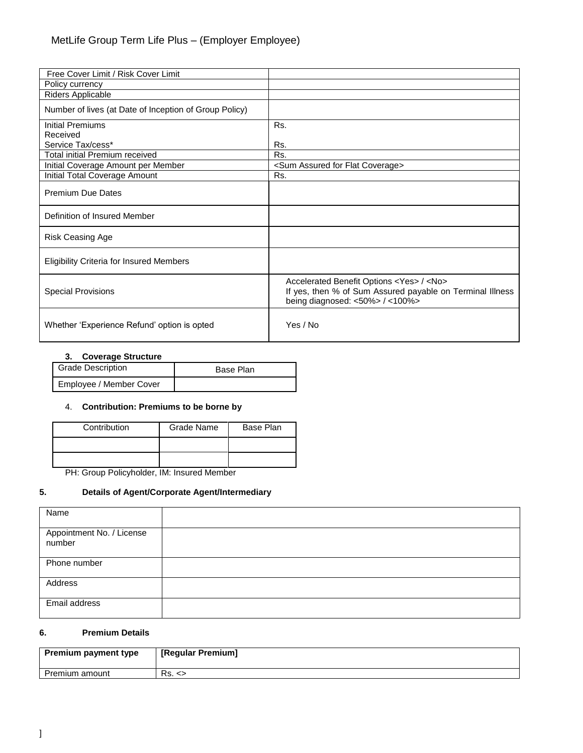| Free Cover Limit / Risk Cover Limit                    |                                                                                                                                                                   |
|--------------------------------------------------------|-------------------------------------------------------------------------------------------------------------------------------------------------------------------|
| Policy currency                                        |                                                                                                                                                                   |
| Riders Applicable                                      |                                                                                                                                                                   |
| Number of lives (at Date of Inception of Group Policy) |                                                                                                                                                                   |
| Initial Premiums                                       | Rs.                                                                                                                                                               |
| Received                                               |                                                                                                                                                                   |
| Service Tax/cess*                                      | Rs.                                                                                                                                                               |
| Total initial Premium received                         | Rs.                                                                                                                                                               |
| Initial Coverage Amount per Member                     | <sum assured="" coverage="" flat="" for=""></sum>                                                                                                                 |
| Initial Total Coverage Amount                          | Rs.                                                                                                                                                               |
| <b>Premium Due Dates</b>                               |                                                                                                                                                                   |
| Definition of Insured Member                           |                                                                                                                                                                   |
| <b>Risk Ceasing Age</b>                                |                                                                                                                                                                   |
| <b>Eligibility Criteria for Insured Members</b>        |                                                                                                                                                                   |
| <b>Special Provisions</b>                              | Accelerated Benefit Options <yes> / <no><br/>If yes, then % of Sum Assured payable on Terminal Illness<br/>being diagnosed: &lt;50%&gt; / &lt;100%&gt;</no></yes> |
| Whether 'Experience Refund' option is opted            | Yes / No                                                                                                                                                          |

## **3. Coverage Structure**

| <b>Grade Description</b> | Base Plan |
|--------------------------|-----------|
| Employee / Member Cover  |           |

### 4. **Contribution: Premiums to be borne by**

| Contribution | <b>Grade Name</b> | Base Plan |
|--------------|-------------------|-----------|
|              |                   |           |
|              |                   |           |

PH: Group Policyholder, IM: Insured Member

## **5. Details of Agent/Corporate Agent/Intermediary**

| Name                                |  |
|-------------------------------------|--|
| Appointment No. / License<br>number |  |
| Phone number                        |  |
| Address                             |  |
| Email address                       |  |

## **6. Premium Details**

| <b>Premium payment type</b> | [Regular Premium] |
|-----------------------------|-------------------|
| Premium amount              | Rs. <             |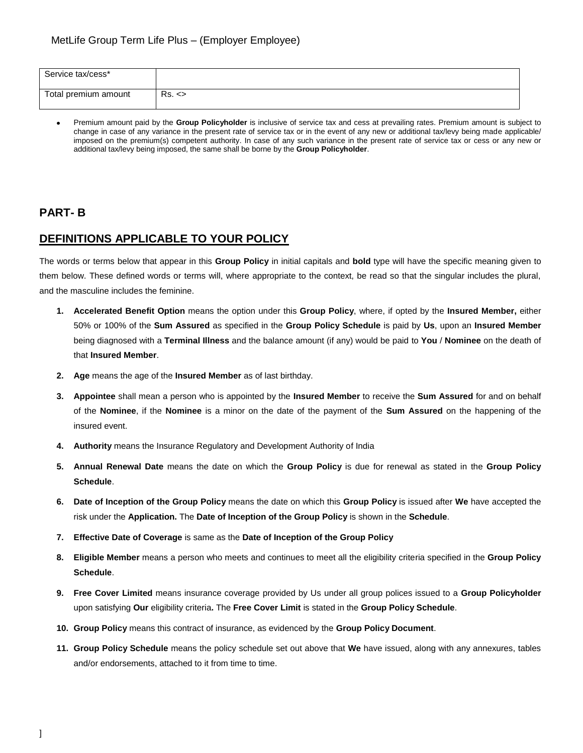| Service tax/cess*    |            |
|----------------------|------------|
| Total premium amount | $Rs. \leq$ |

 Premium amount paid by the **Group Policyholder** is inclusive of service tax and cess at prevailing rates. Premium amount is subject to change in case of any variance in the present rate of service tax or in the event of any new or additional tax/levy being made applicable/ imposed on the premium(s) competent authority. In case of any such variance in the present rate of service tax or cess or any new or additional tax/levy being imposed, the same shall be borne by the **Group Policyholder**.

# **PART- B**

# **DEFINITIONS APPLICABLE TO YOUR POLICY**

The words or terms below that appear in this **Group Policy** in initial capitals and **bold** type will have the specific meaning given to them below. These defined words or terms will, where appropriate to the context, be read so that the singular includes the plural, and the masculine includes the feminine.

- **1. Accelerated Benefit Option** means the option under this **Group Policy**, where, if opted by the **Insured Member,** either 50% or 100% of the **Sum Assured** as specified in the **Group Policy Schedule** is paid by **Us**, upon an **Insured Member** being diagnosed with a **Terminal Illness** and the balance amount (if any) would be paid to **You** / **Nominee** on the death of that **Insured Member**.
- **2. Age** means the age of the **Insured Member** as of last birthday.
- **3. Appointee** shall mean a person who is appointed by the **Insured Member** to receive the **Sum Assured** for and on behalf of the **Nominee**, if the **Nominee** is a minor on the date of the payment of the **Sum Assured** on the happening of the insured event.
- **4. Authority** means the Insurance Regulatory and Development Authority of India
- **5. Annual Renewal Date** means the date on which the **Group Policy** is due for renewal as stated in the **Group Policy Schedule**.
- **6. Date of Inception of the Group Policy** means the date on which this **Group Policy** is issued after **We** have accepted the risk under the **Application.** The **Date of Inception of the Group Policy** is shown in the **Schedule**.
- **7. Effective Date of Coverage** is same as the **Date of Inception of the Group Policy**
- **8. Eligible Member** means a person who meets and continues to meet all the eligibility criteria specified in the **Group Policy Schedule**.
- **9. Free Cover Limited** means insurance coverage provided by Us under all group polices issued to a **Group Policyholder**  upon satisfying **Our** eligibility criteria**.** The **Free Cover Limit** is stated in the **Group Policy Schedule**.
- **10. Group Policy** means this contract of insurance, as evidenced by the **Group Policy Document**.
- **11. Group Policy Schedule** means the policy schedule set out above that **We** have issued, along with any annexures, tables and/or endorsements, attached to it from time to time.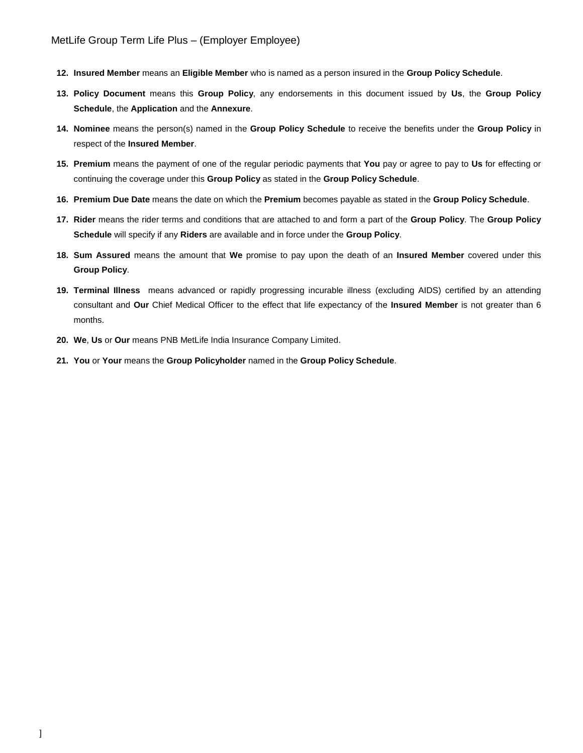- **12. Insured Member** means an **Eligible Member** who is named as a person insured in the **Group Policy Schedule**.
- **13. Policy Document** means this **Group Policy**, any endorsements in this document issued by **Us**, the **Group Policy Schedule**, the **Application** and the **Annexure**.
- **14. Nominee** means the person(s) named in the **Group Policy Schedule** to receive the benefits under the **Group Policy** in respect of the **Insured Member**.
- **15. Premium** means the payment of one of the regular periodic payments that **You** pay or agree to pay to **Us** for effecting or continuing the coverage under this **Group Policy** as stated in the **Group Policy Schedule**.
- **16. Premium Due Date** means the date on which the **Premium** becomes payable as stated in the **Group Policy Schedule**.
- **17. Rider** means the rider terms and conditions that are attached to and form a part of the **Group Policy**. The **Group Policy Schedule** will specify if any **Riders** are available and in force under the **Group Policy**.
- **18. Sum Assured** means the amount that **We** promise to pay upon the death of an **Insured Member** covered under this **Group Policy**.
- **19. Terminal Illness** means advanced or rapidly progressing incurable illness (excluding AIDS) certified by an attending consultant and **Our** Chief Medical Officer to the effect that life expectancy of the **Insured Member** is not greater than 6 months.
- **20. We**, **Us** or **Our** means PNB MetLife India Insurance Company Limited.
- **21. You** or **Your** means the **Group Policyholder** named in the **Group Policy Schedule**.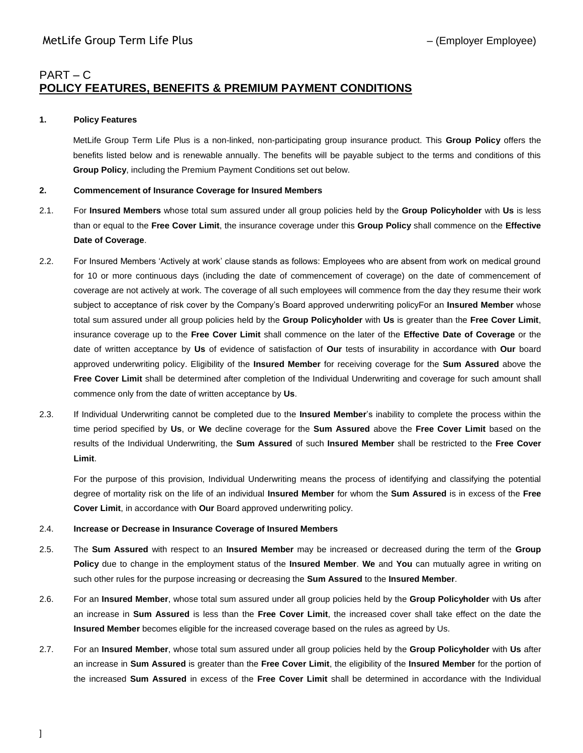# PART – C **POLICY FEATURES, BENEFITS & PREMIUM PAYMENT CONDITIONS**

### **1. Policy Features**

MetLife Group Term Life Plus is a non-linked, non-participating group insurance product. This **Group Policy** offers the benefits listed below and is renewable annually. The benefits will be payable subject to the terms and conditions of this **Group Policy**, including the Premium Payment Conditions set out below.

### **2. Commencement of Insurance Coverage for Insured Members**

- 2.1. For **Insured Members** whose total sum assured under all group policies held by the **Group Policyholder** with **Us** is less than or equal to the **Free Cover Limit**, the insurance coverage under this **Group Policy** shall commence on the **Effective Date of Coverage**.
- 2.2. For Insured Members 'Actively at work' clause stands as follows: Employees who are absent from work on medical ground for 10 or more continuous days (including the date of commencement of coverage) on the date of commencement of coverage are not actively at work. The coverage of all such employees will commence from the day they resume their work subject to acceptance of risk cover by the Company's Board approved underwriting policyFor an **Insured Member** whose total sum assured under all group policies held by the **Group Policyholder** with **Us** is greater than the **Free Cover Limit**, insurance coverage up to the **Free Cover Limit** shall commence on the later of the **Effective Date of Coverage** or the date of written acceptance by **Us** of evidence of satisfaction of **Our** tests of insurability in accordance with **Our** board approved underwriting policy. Eligibility of the **Insured Member** for receiving coverage for the **Sum Assured** above the **Free Cover Limit** shall be determined after completion of the Individual Underwriting and coverage for such amount shall commence only from the date of written acceptance by **Us**.
- 2.3. If Individual Underwriting cannot be completed due to the **Insured Member**'s inability to complete the process within the time period specified by **Us**, or **We** decline coverage for the **Sum Assured** above the **Free Cover Limit** based on the results of the Individual Underwriting, the **Sum Assured** of such **Insured Member** shall be restricted to the **Free Cover Limit**.

For the purpose of this provision, Individual Underwriting means the process of identifying and classifying the potential degree of mortality risk on the life of an individual **Insured Member** for whom the **Sum Assured** is in excess of the **Free Cover Limit**, in accordance with **Our** Board approved underwriting policy.

### 2.4. **Increase or Decrease in Insurance Coverage of Insured Members**

- 2.5. The **Sum Assured** with respect to an **Insured Member** may be increased or decreased during the term of the **Group Policy** due to change in the employment status of the **Insured Member**. **We** and **You** can mutually agree in writing on such other rules for the purpose increasing or decreasing the **Sum Assured** to the **Insured Member**.
- 2.6. For an **Insured Member**, whose total sum assured under all group policies held by the **Group Policyholder** with **Us** after an increase in **Sum Assured** is less than the **Free Cover Limit**, the increased cover shall take effect on the date the **Insured Member** becomes eligible for the increased coverage based on the rules as agreed by Us.
- 2.7. For an **Insured Member**, whose total sum assured under all group policies held by the **Group Policyholder** with **Us** after an increase in **Sum Assured** is greater than the **Free Cover Limit**, the eligibility of the **Insured Member** for the portion of the increased **Sum Assured** in excess of the **Free Cover Limit** shall be determined in accordance with the Individual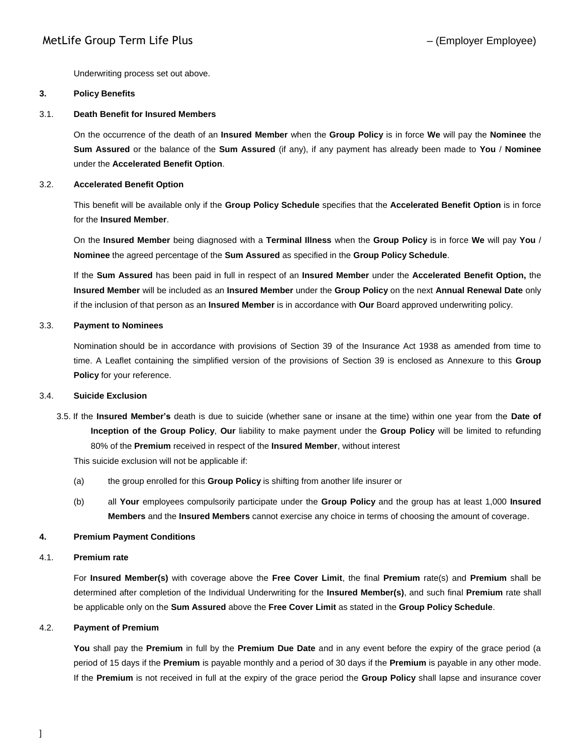Underwriting process set out above.

### **3. Policy Benefits**

### 3.1. **Death Benefit for Insured Members**

On the occurrence of the death of an **Insured Member** when the **Group Policy** is in force **We** will pay the **Nominee** the **Sum Assured** or the balance of the **Sum Assured** (if any), if any payment has already been made to **You** / **Nominee** under the **Accelerated Benefit Option**.

### 3.2. **Accelerated Benefit Option**

This benefit will be available only if the **Group Policy Schedule** specifies that the **Accelerated Benefit Option** is in force for the **Insured Member**.

On the **Insured Member** being diagnosed with a **Terminal Illness** when the **Group Policy** is in force **We** will pay **You** / **Nominee** the agreed percentage of the **Sum Assured** as specified in the **Group Policy Schedule**.

If the **Sum Assured** has been paid in full in respect of an **Insured Member** under the **Accelerated Benefit Option,** the **Insured Member** will be included as an **Insured Member** under the **Group Policy** on the next **Annual Renewal Date** only if the inclusion of that person as an **Insured Member** is in accordance with **Our** Board approved underwriting policy.

### 3.3. **Payment to Nominees**

Nomination should be in accordance with provisions of Section 39 of the Insurance Act 1938 as amended from time to time. A Leaflet containing the simplified version of the provisions of Section 39 is enclosed as Annexure to this **Group Policy** for your reference.

### 3.4. **Suicide Exclusion**

3.5. If the **Insured Member's** death is due to suicide (whether sane or insane at the time) within one year from the **Date of Inception of the Group Policy**, **Our** liability to make payment under the **Group Policy** will be limited to refunding 80% of the **Premium** received in respect of the **Insured Member**, without interest

This suicide exclusion will not be applicable if:

- (a) the group enrolled for this **Group Policy** is shifting from another life insurer or
- (b) all **Your** employees compulsorily participate under the **Group Policy** and the group has at least 1,000 **Insured Members** and the **Insured Members** cannot exercise any choice in terms of choosing the amount of coverage.

## **4. Premium Payment Conditions**

## 4.1. **Premium rate**

For **Insured Member(s)** with coverage above the **Free Cover Limit**, the final **Premium** rate(s) and **Premium** shall be determined after completion of the Individual Underwriting for the **Insured Member(s)**, and such final **Premium** rate shall be applicable only on the **Sum Assured** above the **Free Cover Limit** as stated in the **Group Policy Schedule**.

### 4.2. **Payment of Premium**

**You** shall pay the **Premium** in full by the **Premium Due Date** and in any event before the expiry of the grace period (a period of 15 days if the **Premium** is payable monthly and a period of 30 days if the **Premium** is payable in any other mode. If the **Premium** is not received in full at the expiry of the grace period the **Group Policy** shall lapse and insurance cover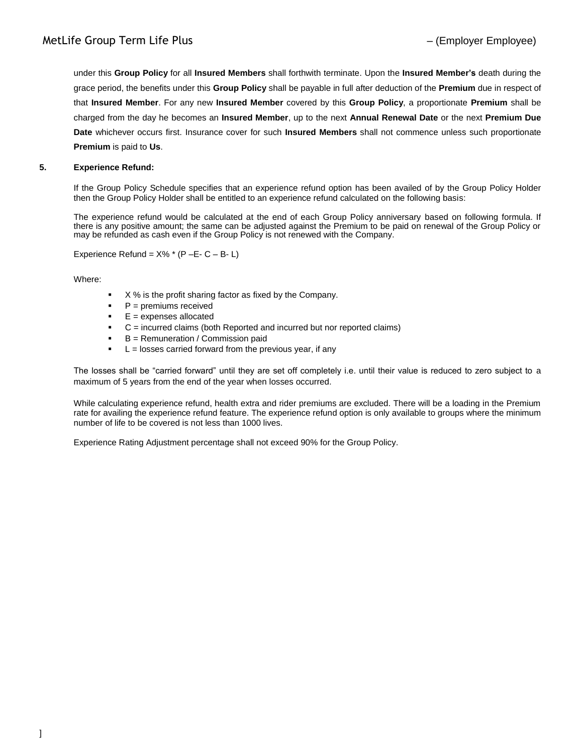under this **Group Policy** for all **Insured Members** shall forthwith terminate. Upon the **Insured Member's** death during the grace period, the benefits under this **Group Policy** shall be payable in full after deduction of the **Premium** due in respect of that **Insured Member**. For any new **Insured Member** covered by this **Group Policy**, a proportionate **Premium** shall be charged from the day he becomes an **Insured Member**, up to the next **Annual Renewal Date** or the next **Premium Due Date** whichever occurs first. Insurance cover for such **Insured Members** shall not commence unless such proportionate **Premium** is paid to **Us**.

## **5. Experience Refund:**

If the Group Policy Schedule specifies that an experience refund option has been availed of by the Group Policy Holder then the Group Policy Holder shall be entitled to an experience refund calculated on the following basis:

The experience refund would be calculated at the end of each Group Policy anniversary based on following formula. If there is any positive amount; the same can be adjusted against the Premium to be paid on renewal of the Group Policy or may be refunded as cash even if the Group Policy is not renewed with the Company.

Experience Refund =  $X\%$  \* (P – E- C – B- L)

Where:

- X % is the profit sharing factor as fixed by the Company.
- P = premiums received
- $E =$  expenses allocated
- C = incurred claims (both Reported and incurred but nor reported claims)
- B = Remuneration / Commission paid
- $L =$  losses carried forward from the previous year, if any

The losses shall be "carried forward" until they are set off completely i.e. until their value is reduced to zero subject to a maximum of 5 years from the end of the year when losses occurred.

While calculating experience refund, health extra and rider premiums are excluded. There will be a loading in the Premium rate for availing the experience refund feature. The experience refund option is only available to groups where the minimum number of life to be covered is not less than 1000 lives.

Experience Rating Adjustment percentage shall not exceed 90% for the Group Policy.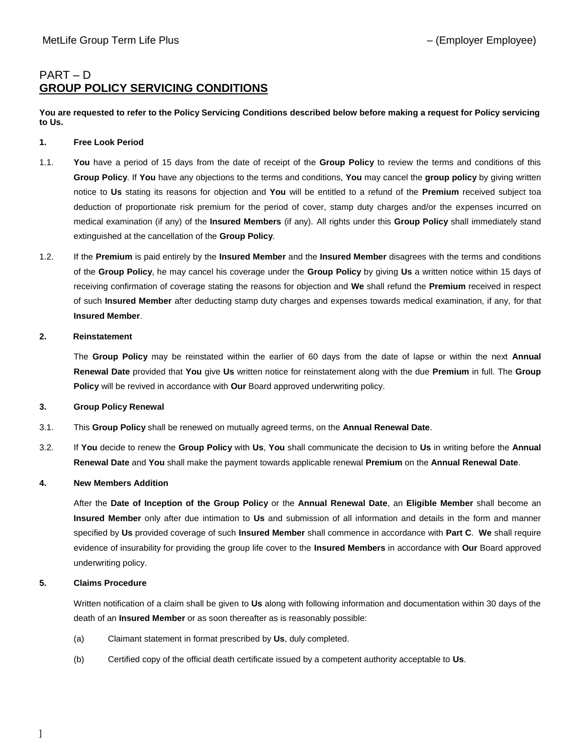# PART – D **GROUP POLICY SERVICING CONDITIONS**

**You are requested to refer to the Policy Servicing Conditions described below before making a request for Policy servicing to Us.**

### **1. Free Look Period**

- 1.1. **You** have a period of 15 days from the date of receipt of the **Group Policy** to review the terms and conditions of this **Group Policy**. If **You** have any objections to the terms and conditions, **You** may cancel the **group policy** by giving written notice to **Us** stating its reasons for objection and **You** will be entitled to a refund of the **Premium** received subject toa deduction of proportionate risk premium for the period of cover, stamp duty charges and/or the expenses incurred on medical examination (if any) of the **Insured Members** (if any). All rights under this **Group Policy** shall immediately stand extinguished at the cancellation of the **Group Policy**.
- 1.2. If the **Premium** is paid entirely by the **Insured Member** and the **Insured Member** disagrees with the terms and conditions of the **Group Policy**, he may cancel his coverage under the **Group Policy** by giving **Us** a written notice within 15 days of receiving confirmation of coverage stating the reasons for objection and **We** shall refund the **Premium** received in respect of such **Insured Member** after deducting stamp duty charges and expenses towards medical examination, if any, for that **Insured Member**.

### **2. Reinstatement**

The **Group Policy** may be reinstated within the earlier of 60 days from the date of lapse or within the next **Annual Renewal Date** provided that **You** give **Us** written notice for reinstatement along with the due **Premium** in full. The **Group Policy** will be revived in accordance with **Our** Board approved underwriting policy.

## **3. Group Policy Renewal**

- 3.1. This **Group Policy** shall be renewed on mutually agreed terms, on the **Annual Renewal Date**.
- 3.2. If **You** decide to renew the **Group Policy** with **Us**, **You** shall communicate the decision to **Us** in writing before the **Annual Renewal Date** and **You** shall make the payment towards applicable renewal **Premium** on the **Annual Renewal Date**.

## **4. New Members Addition**

After the **Date of Inception of the Group Policy** or the **Annual Renewal Date**, an **Eligible Member** shall become an **Insured Member** only after due intimation to **Us** and submission of all information and details in the form and manner specified by **Us** provided coverage of such **Insured Member** shall commence in accordance with **Part C**. **We** shall require evidence of insurability for providing the group life cover to the **Insured Members** in accordance with **Our** Board approved underwriting policy.

## **5. Claims Procedure**

Written notification of a claim shall be given to **Us** along with following information and documentation within 30 days of the death of an **Insured Member** or as soon thereafter as is reasonably possible:

- (a) Claimant statement in format prescribed by **Us**, duly completed.
- (b) Certified copy of the official death certificate issued by a competent authority acceptable to **Us**.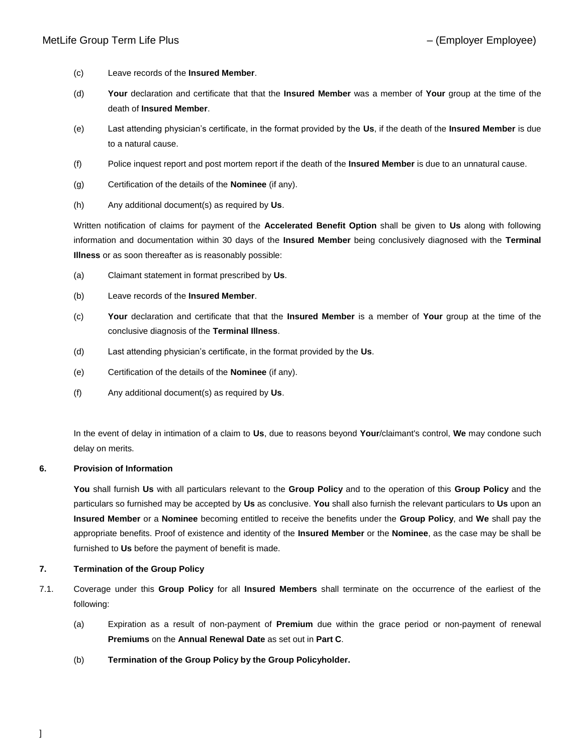- (c) Leave records of the **Insured Member**.
- (d) **Your** declaration and certificate that that the **Insured Member** was a member of **Your** group at the time of the death of **Insured Member**.
- (e) Last attending physician's certificate, in the format provided by the **Us**, if the death of the **Insured Member** is due to a natural cause.
- (f) Police inquest report and post mortem report if the death of the **Insured Member** is due to an unnatural cause.
- (g) Certification of the details of the **Nominee** (if any).
- (h) Any additional document(s) as required by **Us**.

Written notification of claims for payment of the **Accelerated Benefit Option** shall be given to **Us** along with following information and documentation within 30 days of the **Insured Member** being conclusively diagnosed with the **Terminal Illness** or as soon thereafter as is reasonably possible:

- (a) Claimant statement in format prescribed by **Us**.
- (b) Leave records of the **Insured Member**.
- (c) **Your** declaration and certificate that that the **Insured Member** is a member of **Your** group at the time of the conclusive diagnosis of the **Terminal Illness**.
- (d) Last attending physician's certificate, in the format provided by the **Us**.
- (e) Certification of the details of the **Nominee** (if any).
- (f) Any additional document(s) as required by **Us**.

In the event of delay in intimation of a claim to **Us**, due to reasons beyond **Your**/claimant's control, **We** may condone such delay on merits.

### **6. Provision of Information**

**You** shall furnish **Us** with all particulars relevant to the **Group Policy** and to the operation of this **Group Policy** and the particulars so furnished may be accepted by **Us** as conclusive. **You** shall also furnish the relevant particulars to **Us** upon an **Insured Member** or a **Nominee** becoming entitled to receive the benefits under the **Group Policy**, and **We** shall pay the appropriate benefits. Proof of existence and identity of the **Insured Member** or the **Nominee**, as the case may be shall be furnished to **Us** before the payment of benefit is made.

### **7. Termination of the Group Policy**

- 7.1. Coverage under this **Group Policy** for all **Insured Members** shall terminate on the occurrence of the earliest of the following:
	- (a) Expiration as a result of non-payment of **Premium** due within the grace period or non-payment of renewal **Premiums** on the **Annual Renewal Date** as set out in **Part C**.
	- (b) **Termination of the Group Policy by the Group Policyholder.**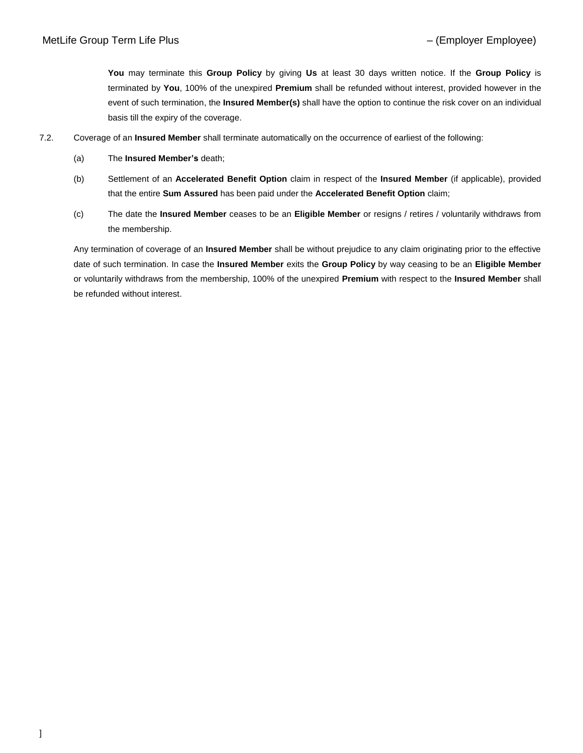**You** may terminate this **Group Policy** by giving **Us** at least 30 days written notice. If the **Group Policy** is terminated by **You**, 100% of the unexpired **Premium** shall be refunded without interest, provided however in the event of such termination, the **Insured Member(s)** shall have the option to continue the risk cover on an individual basis till the expiry of the coverage.

- 7.2. Coverage of an **Insured Member** shall terminate automatically on the occurrence of earliest of the following:
	- (a) The **Insured Member's** death;
	- (b) Settlement of an **Accelerated Benefit Option** claim in respect of the **Insured Member** (if applicable), provided that the entire **Sum Assured** has been paid under the **Accelerated Benefit Option** claim;
	- (c) The date the **Insured Member** ceases to be an **Eligible Member** or resigns / retires / voluntarily withdraws from the membership.

Any termination of coverage of an **Insured Member** shall be without prejudice to any claim originating prior to the effective date of such termination. In case the **Insured Member** exits the **Group Policy** by way ceasing to be an **Eligible Member** or voluntarily withdraws from the membership, 100% of the unexpired **Premium** with respect to the **Insured Member** shall be refunded without interest.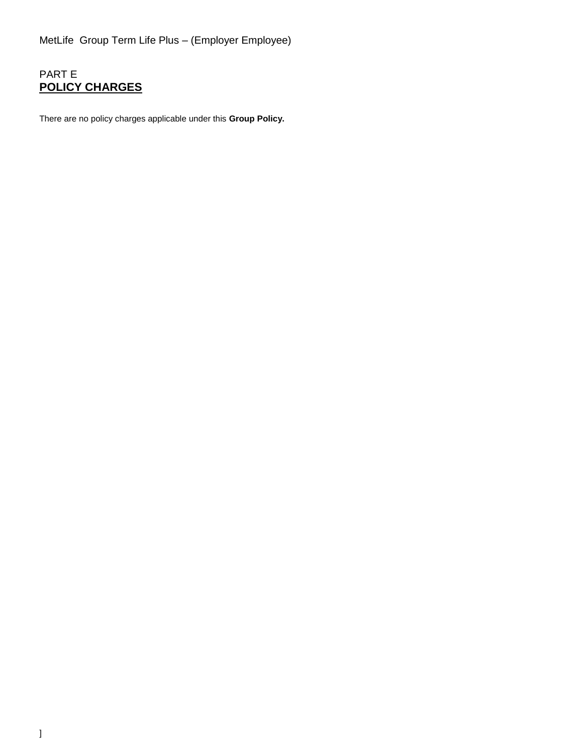# PART E **POLICY CHARGES**

There are no policy charges applicable under this **Group Policy.**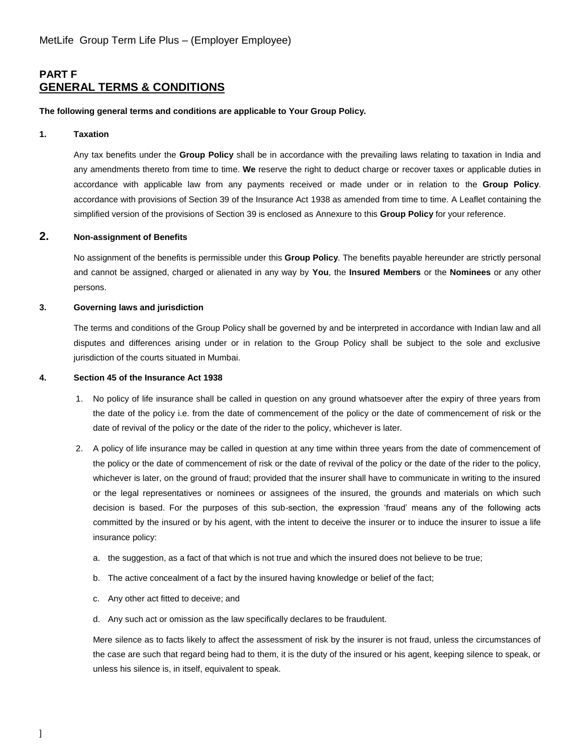## **PART F GENERAL TERMS & CONDITIONS**

#### **The following general terms and conditions are applicable to Your Group Policy.**

#### **1. Taxation**

Any tax benefits under the **Group Policy** shall be in accordance with the prevailing laws relating to taxation in India and any amendments thereto from time to time. **We** reserve the right to deduct charge or recover taxes or applicable duties in accordance with applicable law from any payments received or made under or in relation to the **Group Policy**. accordance with provisions of Section 39 of the Insurance Act 1938 as amended from time to time. A Leaflet containing the simplified version of the provisions of Section 39 is enclosed as Annexure to this **Group Policy** for your reference.

## **2. Non-assignment of Benefits**

No assignment of the benefits is permissible under this **Group Policy**. The benefits payable hereunder are strictly personal and cannot be assigned, charged or alienated in any way by **You**, the **Insured Members** or the **Nominees** or any other persons.

#### **3. Governing laws and jurisdiction**

The terms and conditions of the Group Policy shall be governed by and be interpreted in accordance with Indian law and all disputes and differences arising under or in relation to the Group Policy shall be subject to the sole and exclusive jurisdiction of the courts situated in Mumbai.

### **4. Section 45 of the Insurance Act 1938**

- 1. No policy of life insurance shall be called in question on any ground whatsoever after the expiry of three years from the date of the policy i.e. from the date of commencement of the policy or the date of commencement of risk or the date of revival of the policy or the date of the rider to the policy, whichever is later.
- 2. A policy of life insurance may be called in question at any time within three years from the date of commencement of the policy or the date of commencement of risk or the date of revival of the policy or the date of the rider to the policy, whichever is later, on the ground of fraud; provided that the insurer shall have to communicate in writing to the insured or the legal representatives or nominees or assignees of the insured, the grounds and materials on which such decision is based. For the purposes of this sub-section, the expression 'fraud' means any of the following acts committed by the insured or by his agent, with the intent to deceive the insurer or to induce the insurer to issue a life insurance policy:
	- a. the suggestion, as a fact of that which is not true and which the insured does not believe to be true;
	- b. The active concealment of a fact by the insured having knowledge or belief of the fact;
	- c. Any other act fitted to deceive; and
	- d. Any such act or omission as the law specifically declares to be fraudulent.

Mere silence as to facts likely to affect the assessment of risk by the insurer is not fraud, unless the circumstances of the case are such that regard being had to them, it is the duty of the insured or his agent, keeping silence to speak, or unless his silence is, in itself, equivalent to speak.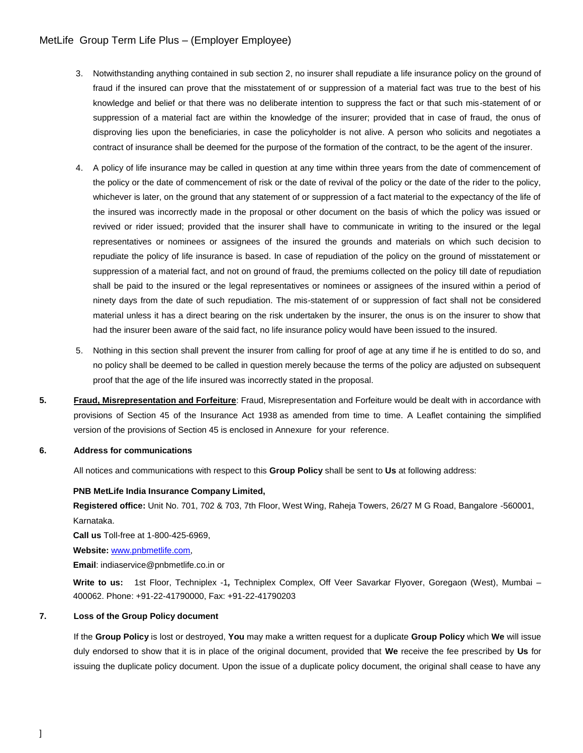## MetLife Group Term Life Plus – (Employer Employee)

- 3. Notwithstanding anything contained in sub section 2, no insurer shall repudiate a life insurance policy on the ground of fraud if the insured can prove that the misstatement of or suppression of a material fact was true to the best of his knowledge and belief or that there was no deliberate intention to suppress the fact or that such mis-statement of or suppression of a material fact are within the knowledge of the insurer; provided that in case of fraud, the onus of disproving lies upon the beneficiaries, in case the policyholder is not alive. A person who solicits and negotiates a contract of insurance shall be deemed for the purpose of the formation of the contract, to be the agent of the insurer.
- 4. A policy of life insurance may be called in question at any time within three years from the date of commencement of the policy or the date of commencement of risk or the date of revival of the policy or the date of the rider to the policy, whichever is later, on the ground that any statement of or suppression of a fact material to the expectancy of the life of the insured was incorrectly made in the proposal or other document on the basis of which the policy was issued or revived or rider issued; provided that the insurer shall have to communicate in writing to the insured or the legal representatives or nominees or assignees of the insured the grounds and materials on which such decision to repudiate the policy of life insurance is based. In case of repudiation of the policy on the ground of misstatement or suppression of a material fact, and not on ground of fraud, the premiums collected on the policy till date of repudiation shall be paid to the insured or the legal representatives or nominees or assignees of the insured within a period of ninety days from the date of such repudiation. The mis-statement of or suppression of fact shall not be considered material unless it has a direct bearing on the risk undertaken by the insurer, the onus is on the insurer to show that had the insurer been aware of the said fact, no life insurance policy would have been issued to the insured.
- 5. Nothing in this section shall prevent the insurer from calling for proof of age at any time if he is entitled to do so, and no policy shall be deemed to be called in question merely because the terms of the policy are adjusted on subsequent proof that the age of the life insured was incorrectly stated in the proposal.
- **5. Fraud, Misrepresentation and Forfeiture**: Fraud, Misrepresentation and Forfeiture would be dealt with in accordance with provisions of Section 45 of the Insurance Act 1938 as amended from time to time. A Leaflet containing the simplified version of the provisions of Section 45 is enclosed in Annexure for your reference.

### **6. Address for communications**

All notices and communications with respect to this **Group Policy** shall be sent to **Us** at following address:

### **PNB MetLife India Insurance Company Limited,**

**Registered office:** Unit No. 701, 702 & 703, 7th Floor, West Wing, Raheja Towers, 26/27 M G Road, Bangalore -560001, Karnataka.

**Call us** Toll-free at 1-800-425-6969,

**Website:** [www.pnbmetlife.com,](http://www.pnbmetlife.com/)

**Email**: indiaservice@pnbmetlife.co.in or

**Write to us:** 1st Floor, Techniplex -1*,* Techniplex Complex, Off Veer Savarkar Flyover, Goregaon (West), Mumbai – 400062. Phone: +91-22-41790000, Fax: +91-22-41790203

### **7. Loss of the Group Policy document**

If the **Group Policy** is lost or destroyed, **You** may make a written request for a duplicate **Group Policy** which **We** will issue duly endorsed to show that it is in place of the original document, provided that **We** receive the fee prescribed by **Us** for issuing the duplicate policy document. Upon the issue of a duplicate policy document, the original shall cease to have any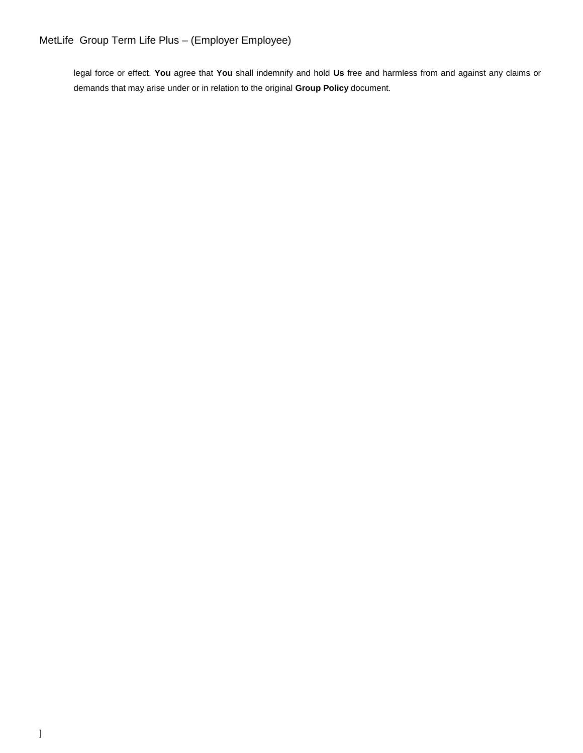legal force or effect. **You** agree that **You** shall indemnify and hold **Us** free and harmless from and against any claims or demands that may arise under or in relation to the original **Group Policy** document.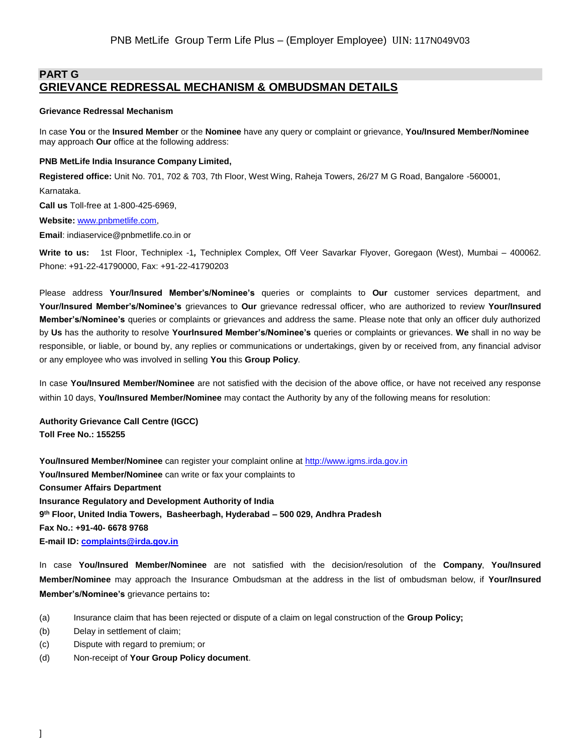## **PART G GRIEVANCE REDRESSAL MECHANISM & OMBUDSMAN DETAILS**

#### **Grievance Redressal Mechanism**

In case **You** or the **Insured Member** or the **Nominee** have any query or complaint or grievance, **You/Insured Member/Nominee** may approach **Our** office at the following address:

#### **PNB MetLife India Insurance Company Limited,**

**Registered office:** Unit No. 701, 702 & 703, 7th Floor, West Wing, Raheja Towers, 26/27 M G Road, Bangalore -560001,

Karnataka.

**Call us** Toll-free at 1-800-425-6969,

**Website:** [www.pnbmetlife.com,](http://www.pnbmetlife.com/)

**Email**: indiaservice@pnbmetlife.co.in or

**Write to us:** 1st Floor, Techniplex -1*,* Techniplex Complex, Off Veer Savarkar Flyover, Goregaon (West), Mumbai – 400062. Phone: +91-22-41790000, Fax: +91-22-41790203

Please address **Your/Insured Member's/Nominee's** queries or complaints to **Our** customer services department, and **Your/Insured Member's/Nominee's** grievances to **Our** grievance redressal officer, who are authorized to review **Your/Insured Member's/Nominee's** queries or complaints or grievances and address the same. Please note that only an officer duly authorized by **Us** has the authority to resolve **YourInsured Member's/Nominee's** queries or complaints or grievances. **We** shall in no way be responsible, or liable, or bound by, any replies or communications or undertakings, given by or received from, any financial advisor or any employee who was involved in selling **You** this **Group Policy**.

In case **You/Insured Member/Nominee** are not satisfied with the decision of the above office, or have not received any response within 10 days, **You/Insured Member/Nominee** may contact the Authority by any of the following means for resolution:

**Authority Grievance Call Centre (IGCC) Toll Free No.: 155255**

**You/Insured Member/Nominee** can register your complaint online at [http://www.igms.irda.gov.in](http://www.igms.irda.gov.in/) **You/Insured Member/Nominee** can write or fax your complaints to **Consumer Affairs Department Insurance Regulatory and Development Authority of India 9 th Floor, United India Towers, Basheerbagh, Hyderabad – 500 029, Andhra Pradesh Fax No.: +91-40- 6678 9768 E-mail ID[: complaints@irda.gov.in](mailto:complaints@irda.gov.in)**

In case **You/Insured Member/Nominee** are not satisfied with the decision/resolution of the **Company**, **You/Insured Member/Nominee** may approach the Insurance Ombudsman at the address in the list of ombudsman below, if **Your/Insured Member's/Nominee's** grievance pertains to**:**

- (a) Insurance claim that has been rejected or dispute of a claim on legal construction of the **Group Policy;**
- (b) Delay in settlement of claim;
- (c) Dispute with regard to premium; or
- (d) Non-receipt of **Your Group Policy document**.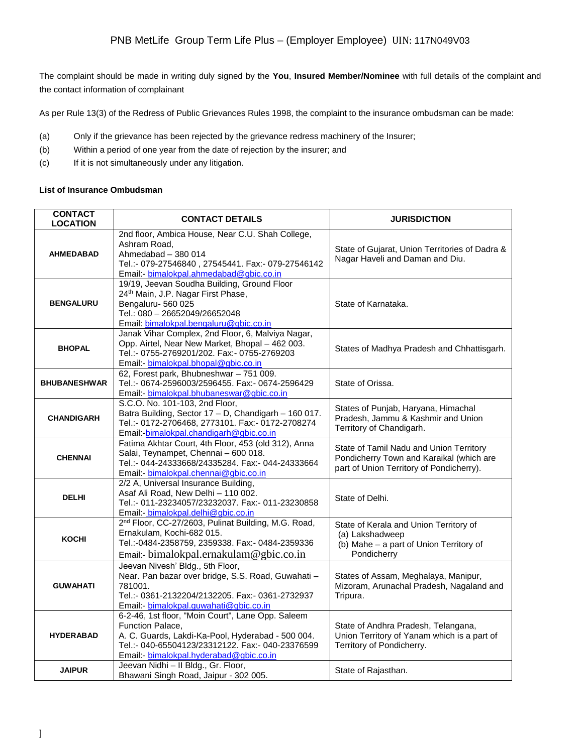The complaint should be made in writing duly signed by the **You**, **Insured Member/Nominee** with full details of the complaint and the contact information of complainant

As per Rule 13(3) of the Redress of Public Grievances Rules 1998, the complaint to the insurance ombudsman can be made:

- (a) Only if the grievance has been rejected by the grievance redress machinery of the Insurer;
- (b) Within a period of one year from the date of rejection by the insurer; and
- (c) If it is not simultaneously under any litigation.

## **List of Insurance Ombudsman**

| <b>CONTACT</b><br><b>LOCATION</b> | <b>CONTACT DETAILS</b>                                                                                                                                                                                                    | <b>JURISDICTION</b>                                                                                                             |
|-----------------------------------|---------------------------------------------------------------------------------------------------------------------------------------------------------------------------------------------------------------------------|---------------------------------------------------------------------------------------------------------------------------------|
| <b>AHMEDABAD</b>                  | 2nd floor, Ambica House, Near C.U. Shah College,<br>Ashram Road.<br>Ahmedabad - 380 014<br>Tel.:- 079-27546840, 27545441. Fax:- 079-27546142<br>Email:- bimalokpal.ahmedabad@gbic.co.in                                   | State of Gujarat, Union Territories of Dadra &<br>Nagar Haveli and Daman and Diu.                                               |
| <b>BENGALURU</b>                  | 19/19, Jeevan Soudha Building, Ground Floor<br>24 <sup>th</sup> Main, J.P. Nagar First Phase,<br>Bengaluru- 560 025<br>Tel.: 080 - 26652049/26652048<br>Email: bimalokpal.bengaluru@gbic.co.in                            | State of Karnataka.                                                                                                             |
| <b>BHOPAL</b>                     | Janak Vihar Complex, 2nd Floor, 6, Malviya Nagar,<br>Opp. Airtel, Near New Market, Bhopal - 462 003.<br>Tel.:- 0755-2769201/202. Fax:- 0755-2769203<br>Email:- bimalokpal.bhopal@gbic.co.in                               | States of Madhya Pradesh and Chhattisgarh.                                                                                      |
| <b>BHUBANESHWAR</b>               | 62, Forest park, Bhubneshwar - 751 009.<br>Tel.:- 0674-2596003/2596455. Fax:- 0674-2596429<br>Email:- bimalokpal.bhubaneswar@gbic.co.in                                                                                   | State of Orissa.                                                                                                                |
| <b>CHANDIGARH</b>                 | S.C.O. No. 101-103, 2nd Floor,<br>Batra Building, Sector 17 - D, Chandigarh - 160 017.<br>Tel.:- 0172-2706468, 2773101. Fax:- 0172-2708274<br>Email:-bimalokpal.chandigarh@gbic.co.in                                     | States of Punjab, Haryana, Himachal<br>Pradesh, Jammu & Kashmir and Union<br>Territory of Chandigarh.                           |
| <b>CHENNAI</b>                    | Fatima Akhtar Court, 4th Floor, 453 (old 312), Anna<br>Salai, Teynampet, Chennai - 600 018.<br>Tel.:- 044-24333668/24335284. Fax:- 044-24333664<br>Email: - bimalokpal.chennai@gbic.co.in                                 | State of Tamil Nadu and Union Territory<br>Pondicherry Town and Karaikal (which are<br>part of Union Territory of Pondicherry). |
| <b>DELHI</b>                      | 2/2 A, Universal Insurance Building,<br>Asaf Ali Road, New Delhi - 110 002.<br>Tel.:- 011-23234057/23232037. Fax:- 011-23230858<br>Email:- bimalokpal.delhi@gbic.co.in                                                    | State of Delhi.                                                                                                                 |
| <b>KOCHI</b>                      | 2 <sup>nd</sup> Floor, CC-27/2603, Pulinat Building, M.G. Road,<br>Ernakulam, Kochi-682 015.<br>Tel.:-0484-2358759, 2359338. Fax:- 0484-2359336<br>Email:- bimalokpal.ernakulam@gbic.co.in                                | State of Kerala and Union Territory of<br>(a) Lakshadweep<br>(b) Mahe - a part of Union Territory of<br>Pondicherry             |
| <b>GUWAHATI</b>                   | Jeevan Nivesh' Bldg., 5th Floor,<br>Near. Pan bazar over bridge, S.S. Road, Guwahati -<br>781001.<br>Tel.:- 0361-2132204/2132205. Fax:- 0361-2732937<br>Email:- bimalokpal.guwahati@gbic.co.in                            | States of Assam, Meghalaya, Manipur,<br>Mizoram, Arunachal Pradesh, Nagaland and<br>Tripura.                                    |
| <b>HYDERABAD</b>                  | 6-2-46, 1st floor, "Moin Court", Lane Opp. Saleem<br>Function Palace,<br>A. C. Guards, Lakdi-Ka-Pool, Hyderabad - 500 004.<br>Tel.:- 040-65504123/23312122. Fax:- 040-23376599<br>Email:- bimalokpal.hyderabad@gbic.co.in | State of Andhra Pradesh, Telangana,<br>Union Territory of Yanam which is a part of<br>Territory of Pondicherry.                 |
| <b>JAIPUR</b>                     | Jeevan Nidhi - Il Bldg., Gr. Floor,<br>Bhawani Singh Road, Jaipur - 302 005.                                                                                                                                              | State of Rajasthan.                                                                                                             |